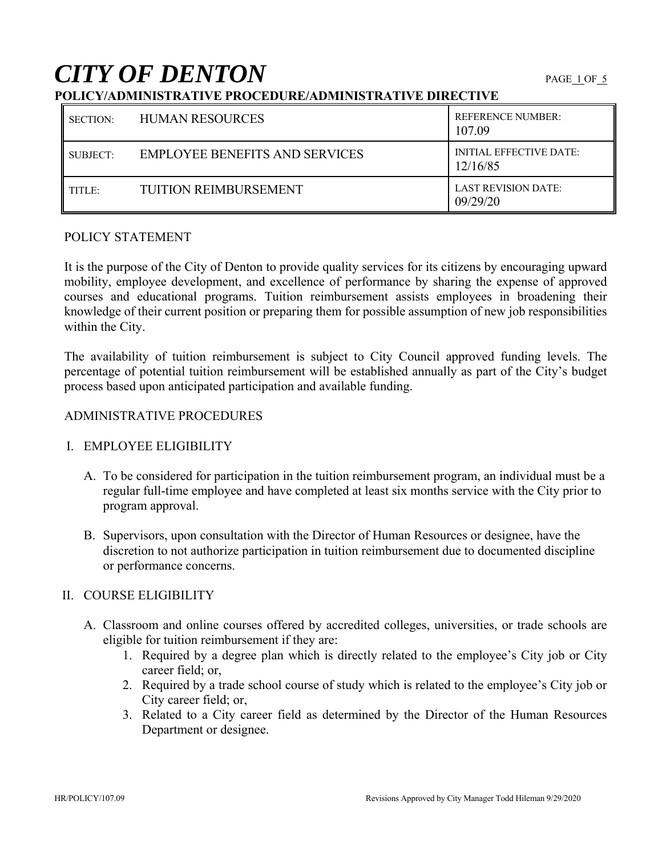# **CITY OF DENTON**

## **POLICY/ADMINISTRATIVE PROCEDURE/ADMINISTRATIVE DIRECTIVE**

| SECTION: | <b>HUMAN RESOURCES</b>                | <b>REFERENCE NUMBER:</b><br>107.09         |
|----------|---------------------------------------|--------------------------------------------|
| SUBJECT: | <b>EMPLOYEE BENEFITS AND SERVICES</b> | <b>INITIAL EFFECTIVE DATE:</b><br>12/16/85 |
| TITLE:   | <b>TUITION REIMBURSEMENT</b>          | <b>LAST REVISION DATE:</b><br>09/29/20     |

#### POLICY STATEMENT

It is the purpose of the City of Denton to provide quality services for its citizens by encouraging upward mobility, employee development, and excellence of performance by sharing the expense of approved courses and educational programs. Tuition reimbursement assists employees in broadening their knowledge of their current position or preparing them for possible assumption of new job responsibilities within the City.

The availability of tuition reimbursement is subject to City Council approved funding levels. The percentage of potential tuition reimbursement will be established annually as part of the City's budget process based upon anticipated participation and available funding.

### ADMINISTRATIVE PROCEDURES

### I. EMPLOYEE ELIGIBILITY

- A. To be considered for participation in the tuition reimbursement program, an individual must be a regular full-time employee and have completed at least six months service with the City prior to program approval.
- B. Supervisors, upon consultation with the Director of Human Resources or designee, have the discretion to not authorize participation in tuition reimbursement due to documented discipline or performance concerns.

### II. COURSE ELIGIBILITY

- A. Classroom and online courses offered by accredited colleges, universities, or trade schools are eligible for tuition reimbursement if they are:
	- 1. Required by a degree plan which is directly related to the employee's City job or City career field; or,
	- 2. Required by a trade school course of study which is related to the employee's City job or City career field; or,
	- 3. Related to a City career field as determined by the Director of the Human Resources Department or designee.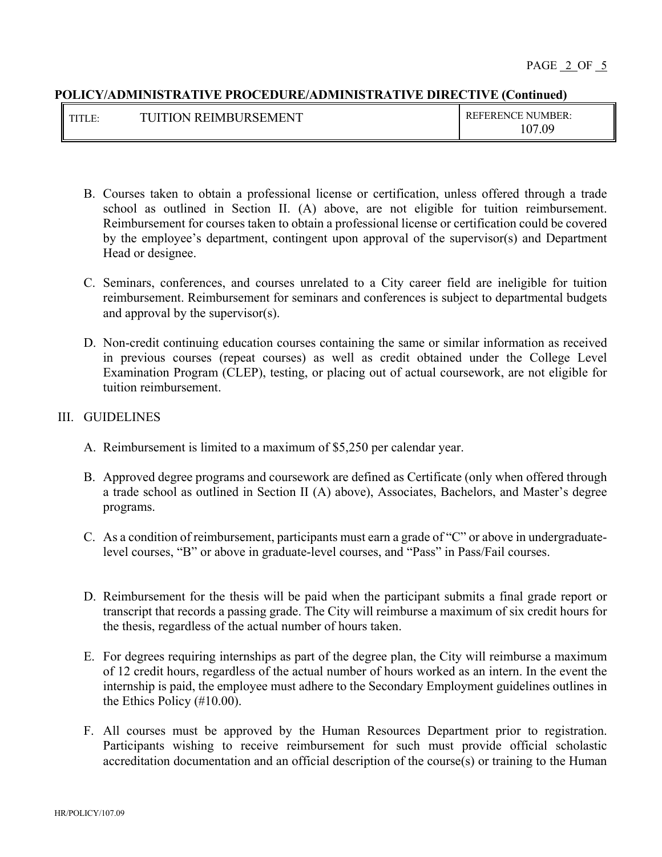| <b>TUITION REIMBURSEMENT</b> | <b>REFERENCE NUMBER:</b> |
|------------------------------|--------------------------|
|                              | 107<br>.09               |

- B. Courses taken to obtain a professional license or certification, unless offered through a trade school as outlined in Section II. (A) above, are not eligible for tuition reimbursement. Reimbursement for courses taken to obtain a professional license or certification could be covered by the employee's department, contingent upon approval of the supervisor(s) and Department Head or designee.
- C. Seminars, conferences, and courses unrelated to a City career field are ineligible for tuition reimbursement. Reimbursement for seminars and conferences is subject to departmental budgets and approval by the supervisor(s).
- D. Non-credit continuing education courses containing the same or similar information as received in previous courses (repeat courses) as well as credit obtained under the College Level Examination Program (CLEP), testing, or placing out of actual coursework, are not eligible for tuition reimbursement.

### III. GUIDELINES

- A. Reimbursement is limited to a maximum of \$5,250 per calendar year.
- B. Approved degree programs and coursework are defined as Certificate (only when offered through a trade school as outlined in Section II (A) above), Associates, Bachelors, and Master's degree programs.
- C. As a condition of reimbursement, participants must earn a grade of "C" or above in undergraduatelevel courses, "B" or above in graduate-level courses, and "Pass" in Pass/Fail courses.
- D. Reimbursement for the thesis will be paid when the participant submits a final grade report or transcript that records a passing grade. The City will reimburse a maximum of six credit hours for the thesis, regardless of the actual number of hours taken.
- E. For degrees requiring internships as part of the degree plan, the City will reimburse a maximum of 12 credit hours, regardless of the actual number of hours worked as an intern. In the event the internship is paid, the employee must adhere to the Secondary Employment guidelines outlines in the Ethics Policy (#10.00).
- F. All courses must be approved by the Human Resources Department prior to registration. Participants wishing to receive reimbursement for such must provide official scholastic accreditation documentation and an official description of the course(s) or training to the Human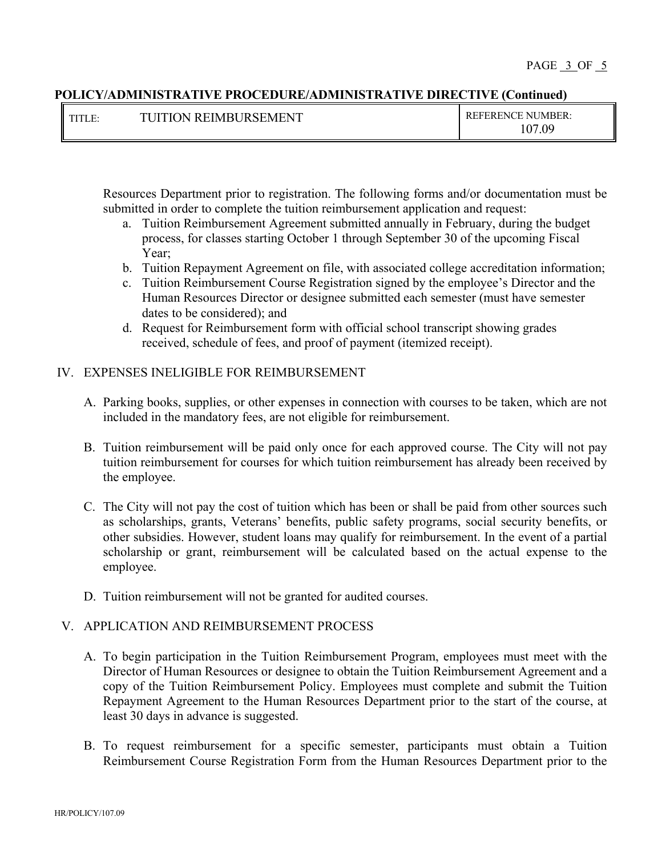| Ш<br>II<br><b>COLOR</b> | I REIMRI IRSEMENT.<br>TI IITI<br>$\Delta$ | <b>REFERENCE NUMBER:</b> |
|-------------------------|-------------------------------------------|--------------------------|
|                         |                                           | 07.09                    |

Resources Department prior to registration. The following forms and/or documentation must be submitted in order to complete the tuition reimbursement application and request:

- a. Tuition Reimbursement Agreement submitted annually in February, during the budget process, for classes starting October 1 through September 30 of the upcoming Fiscal Year;
- b. Tuition Repayment Agreement on file, with associated college accreditation information;
- c. Tuition Reimbursement Course Registration signed by the employee's Director and the Human Resources Director or designee submitted each semester (must have semester dates to be considered); and
- d. Request for Reimbursement form with official school transcript showing grades received, schedule of fees, and proof of payment (itemized receipt).

### IV. EXPENSES INELIGIBLE FOR REIMBURSEMENT

- A. Parking books, supplies, or other expenses in connection with courses to be taken, which are not included in the mandatory fees, are not eligible for reimbursement.
- B. Tuition reimbursement will be paid only once for each approved course. The City will not pay tuition reimbursement for courses for which tuition reimbursement has already been received by the employee.
- C. The City will not pay the cost of tuition which has been or shall be paid from other sources such as scholarships, grants, Veterans' benefits, public safety programs, social security benefits, or other subsidies. However, student loans may qualify for reimbursement. In the event of a partial scholarship or grant, reimbursement will be calculated based on the actual expense to the employee.
- D. Tuition reimbursement will not be granted for audited courses.

### V. APPLICATION AND REIMBURSEMENT PROCESS

- A. To begin participation in the Tuition Reimbursement Program, employees must meet with the Director of Human Resources or designee to obtain the Tuition Reimbursement Agreement and a copy of the Tuition Reimbursement Policy. Employees must complete and submit the Tuition Repayment Agreement to the Human Resources Department prior to the start of the course, at least 30 days in advance is suggested.
- B. To request reimbursement for a specific semester, participants must obtain a Tuition Reimbursement Course Registration Form from the Human Resources Department prior to the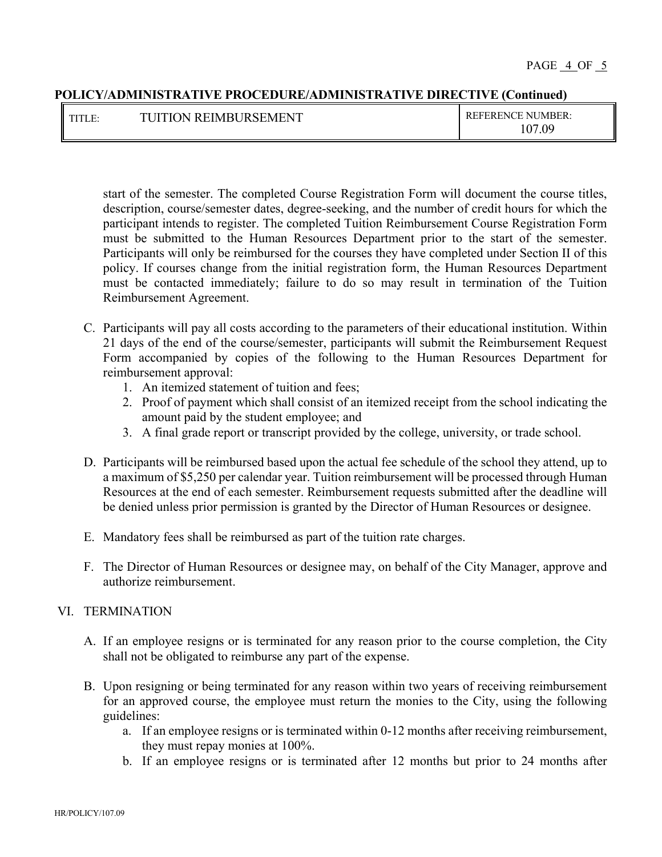| <b>THT</b><br>111LL. | REIMBURSEMENT<br><b>IITION</b><br>mт | <b>REFERENCE NUMBER:</b>  |
|----------------------|--------------------------------------|---------------------------|
|                      |                                      | $\Lambda$<br>.09<br>- V / |

start of the semester. The completed Course Registration Form will document the course titles, description, course/semester dates, degree-seeking, and the number of credit hours for which the participant intends to register. The completed Tuition Reimbursement Course Registration Form must be submitted to the Human Resources Department prior to the start of the semester. Participants will only be reimbursed for the courses they have completed under Section II of this policy. If courses change from the initial registration form, the Human Resources Department must be contacted immediately; failure to do so may result in termination of the Tuition Reimbursement Agreement.

- C. Participants will pay all costs according to the parameters of their educational institution. Within 21 days of the end of the course/semester, participants will submit the Reimbursement Request Form accompanied by copies of the following to the Human Resources Department for reimbursement approval:
	- 1. An itemized statement of tuition and fees;
	- 2. Proof of payment which shall consist of an itemized receipt from the school indicating the amount paid by the student employee; and
	- 3. A final grade report or transcript provided by the college, university, or trade school.
- D. Participants will be reimbursed based upon the actual fee schedule of the school they attend, up to a maximum of \$5,250 per calendar year. Tuition reimbursement will be processed through Human Resources at the end of each semester. Reimbursement requests submitted after the deadline will be denied unless prior permission is granted by the Director of Human Resources or designee.
- E. Mandatory fees shall be reimbursed as part of the tuition rate charges.
- F. The Director of Human Resources or designee may, on behalf of the City Manager, approve and authorize reimbursement.

### VI. TERMINATION

- A. If an employee resigns or is terminated for any reason prior to the course completion, the City shall not be obligated to reimburse any part of the expense.
- B. Upon resigning or being terminated for any reason within two years of receiving reimbursement for an approved course, the employee must return the monies to the City, using the following guidelines:
	- a. If an employee resigns or is terminated within 0-12 months after receiving reimbursement, they must repay monies at 100%.
	- b. If an employee resigns or is terminated after 12 months but prior to 24 months after